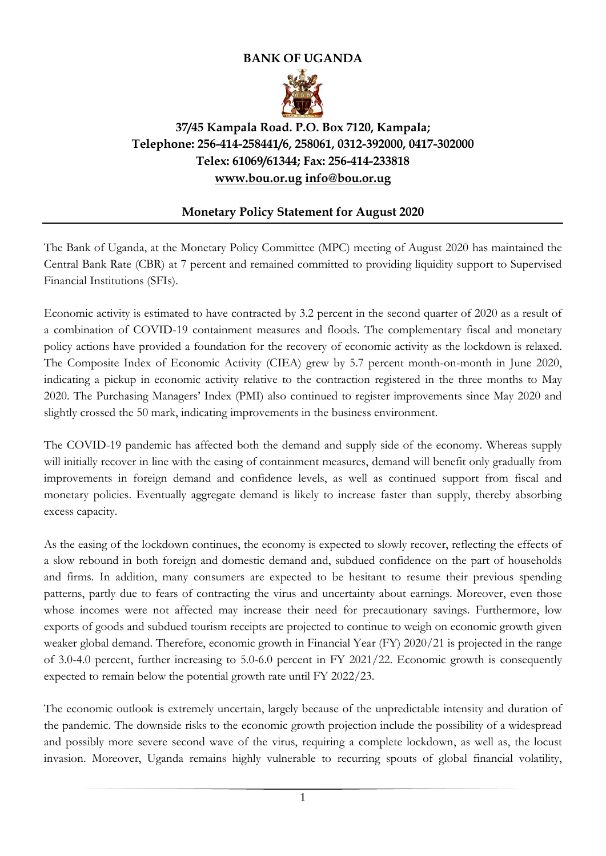## **BANK OF UGANDA**



## **37/45 Kampala Road. P.O. Box 7120, Kampala; Telephone: 256-414-258441/6, 258061, 0312-392000, 0417-302000 Telex: 61069/61344; Fax: 256-414-233818 [www.bou.or.ug](http://www.bou.or.ug/) [info@bou.or.ug](mailto:info@bou.or.ug)**

## **Monetary Policy Statement for August 2020**

The Bank of Uganda, at the Monetary Policy Committee (MPC) meeting of August 2020 has maintained the Central Bank Rate (CBR) at 7 percent and remained committed to providing liquidity support to Supervised Financial Institutions (SFIs).

Economic activity is estimated to have contracted by 3.2 percent in the second quarter of 2020 as a result of a combination of COVID-19 containment measures and floods. The complementary fiscal and monetary policy actions have provided a foundation for the recovery of economic activity as the lockdown is relaxed. The Composite Index of Economic Activity (CIEA) grew by 5.7 percent month-on-month in June 2020, indicating a pickup in economic activity relative to the contraction registered in the three months to May 2020. The Purchasing Managers' Index (PMI) also continued to register improvements since May 2020 and slightly crossed the 50 mark, indicating improvements in the business environment.

The COVID-19 pandemic has affected both the demand and supply side of the economy. Whereas supply will initially recover in line with the easing of containment measures, demand will benefit only gradually from improvements in foreign demand and confidence levels, as well as continued support from fiscal and monetary policies. Eventually aggregate demand is likely to increase faster than supply, thereby absorbing excess capacity.

As the easing of the lockdown continues, the economy is expected to slowly recover, reflecting the effects of a slow rebound in both foreign and domestic demand and, subdued confidence on the part of households and firms. In addition, many consumers are expected to be hesitant to resume their previous spending patterns, partly due to fears of contracting the virus and uncertainty about earnings. Moreover, even those whose incomes were not affected may increase their need for precautionary savings. Furthermore, low exports of goods and subdued tourism receipts are projected to continue to weigh on economic growth given weaker global demand. Therefore, economic growth in Financial Year (FY) 2020/21 is projected in the range of 3.0-4.0 percent, further increasing to 5.0-6.0 percent in FY 2021/22. Economic growth is consequently expected to remain below the potential growth rate until FY 2022/23.

The economic outlook is extremely uncertain, largely because of the unpredictable intensity and duration of the pandemic. The downside risks to the economic growth projection include the possibility of a widespread and possibly more severe second wave of the virus, requiring a complete lockdown, as well as, the locust invasion. Moreover, Uganda remains highly vulnerable to recurring spouts of global financial volatility,